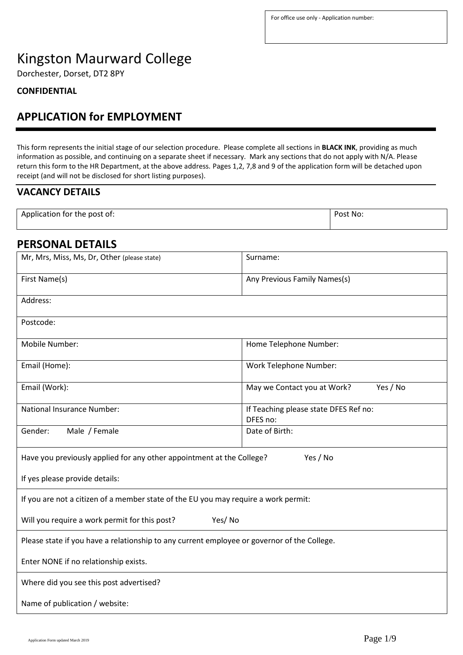# Kingston Maurward College

Dorchester, Dorset, DT2 8PY

## **CONFIDENTIAL**

# **APPLICATION for EMPLOYMENT**

This form represents the initial stage of our selection procedure. Please complete all sections in **BLACK INK**, providing as much information as possible, and continuing on a separate sheet if necessary. Mark any sections that do not apply with N/A. Please return this form to the HR Department, at the above address. Pages 1,2, 7,8 and 9 of the application form will be detached upon receipt (and will not be disclosed for short listing purposes).

# **VACANCY DETAILS**

| Application for the post of: | Post No: |
|------------------------------|----------|
|                              |          |

# **PERSONAL DETAILS**

| Mr, Mrs, Miss, Ms, Dr, Other (please state)                                                 | Surname:                                          |  |
|---------------------------------------------------------------------------------------------|---------------------------------------------------|--|
| First Name(s)                                                                               | Any Previous Family Names(s)                      |  |
| Address:                                                                                    |                                                   |  |
| Postcode:                                                                                   |                                                   |  |
| Mobile Number:                                                                              | Home Telephone Number:                            |  |
| Email (Home):                                                                               | <b>Work Telephone Number:</b>                     |  |
| Email (Work):                                                                               | Yes / No<br>May we Contact you at Work?           |  |
| <b>National Insurance Number:</b>                                                           | If Teaching please state DFES Ref no:<br>DFES no: |  |
| Male / Female<br>Gender:                                                                    | Date of Birth:                                    |  |
| Have you previously applied for any other appointment at the College?                       | Yes / No                                          |  |
| If yes please provide details:                                                              |                                                   |  |
| If you are not a citizen of a member state of the EU you may require a work permit:         |                                                   |  |
| Will you require a work permit for this post?<br>Yes/No                                     |                                                   |  |
| Please state if you have a relationship to any current employee or governor of the College. |                                                   |  |
| Enter NONE if no relationship exists.                                                       |                                                   |  |
| Where did you see this post advertised?                                                     |                                                   |  |
| Name of publication / website:                                                              |                                                   |  |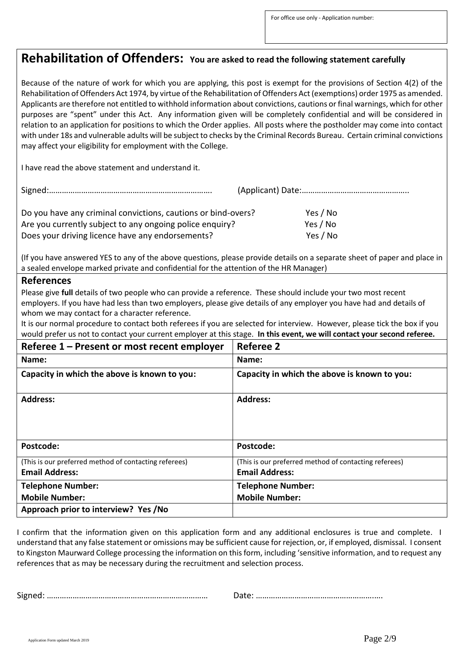# **Rehabilitation of Offenders: You are asked to read the following statement carefully**

Because of the nature of work for which you are applying, this post is exempt for the provisions of Section 4(2) of the Rehabilitation of Offenders Act 1974, by virtue of the Rehabilitation of Offenders Act (exemptions) order 1975 as amended. Applicants are therefore not entitled to withhold information about convictions, cautions or final warnings, which for other purposes are "spent" under this Act. Any information given will be completely confidential and will be considered in relation to an application for positions to which the Order applies. All posts where the postholder may come into contact with under 18s and vulnerable adults will be subject to checks by the Criminal Records Bureau. Certain criminal convictions may affect your eligibility for employment with the College.

I have read the above statement and understand it.

| Do you have any criminal convictions, cautions or bind-overs? | Yes / No |
|---------------------------------------------------------------|----------|
| Are you currently subject to any ongoing police enquiry?      | Yes / No |
| Does your driving licence have any endorsements?              | Yes / No |

(If you have answered YES to any of the above questions, please provide details on a separate sheet of paper and place in a sealed envelope marked private and confidential for the attention of the HR Manager)

### **References**

Please give **full** details of two people who can provide a reference. These should include your two most recent employers. If you have had less than two employers, please give details of any employer you have had and details of whom we may contact for a character reference.

It is our normal procedure to contact both referees if you are selected for interview. However, please tick the box if you would prefer us not to contact your current employer at this stage. **In this event, we will contact your second referee.** 

| Referee 1 – Present or most recent employer           | <b>Referee 2</b>                                      |
|-------------------------------------------------------|-------------------------------------------------------|
| Name:                                                 | Name:                                                 |
| Capacity in which the above is known to you:          | Capacity in which the above is known to you:          |
| <b>Address:</b>                                       | <b>Address:</b>                                       |
| Postcode:                                             | Postcode:                                             |
| (This is our preferred method of contacting referees) | (This is our preferred method of contacting referees) |
| <b>Email Address:</b>                                 | <b>Email Address:</b>                                 |
| <b>Telephone Number:</b>                              | <b>Telephone Number:</b>                              |
| <b>Mobile Number:</b>                                 | <b>Mobile Number:</b>                                 |
| Approach prior to interview? Yes /No                  |                                                       |

I confirm that the information given on this application form and any additional enclosures is true and complete. I understand that any false statement or omissions may be sufficient cause for rejection, or, if employed, dismissal. I consent to Kingston Maurward College processing the information on this form, including 'sensitive information, and to request any references that as may be necessary during the recruitment and selection process.

Signed: ………………………………………………………………… Date: ……………………………………………….….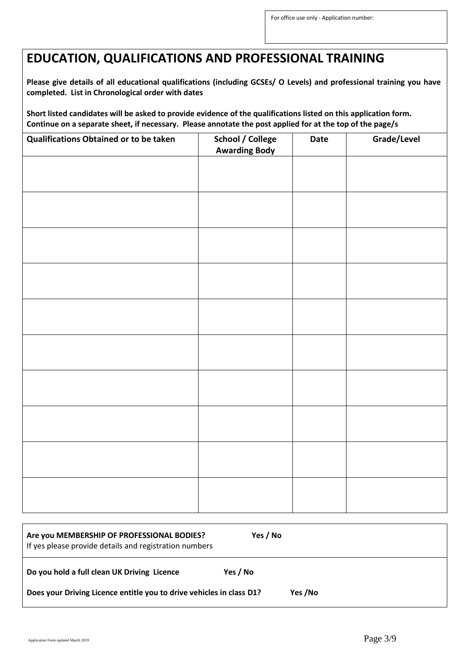# **EDUCATION, QUALIFICATIONS AND PROFESSIONAL TRAINING**

**Please give details of all educational qualifications (including GCSEs/ O Levels) and professional training you have completed. List in Chronological order with dates**

**Short listed candidates will be asked to provide evidence of the qualifications listed on this application form. Continue on a separate sheet, if necessary. Please annotate the post applied for at the top of the page/s**

| Qualifications Obtained or to be taken | <b>School / College</b><br><b>Awarding Body</b> | Date | Grade/Level |
|----------------------------------------|-------------------------------------------------|------|-------------|
|                                        |                                                 |      |             |
|                                        |                                                 |      |             |
|                                        |                                                 |      |             |
|                                        |                                                 |      |             |
|                                        |                                                 |      |             |
|                                        |                                                 |      |             |
|                                        |                                                 |      |             |
|                                        |                                                 |      |             |
|                                        |                                                 |      |             |
|                                        |                                                 |      |             |
|                                        |                                                 |      |             |
|                                        |                                                 |      |             |

| Are you MEMBERSHIP OF PROFESSIONAL BODIES?<br>If yes please provide details and registration numbers | Yes / No |
|------------------------------------------------------------------------------------------------------|----------|
| Do you hold a full clean UK Driving Licence                                                          | Yes / No |
| Does your Driving Licence entitle you to drive vehicles in class D1?                                 | Yes /No  |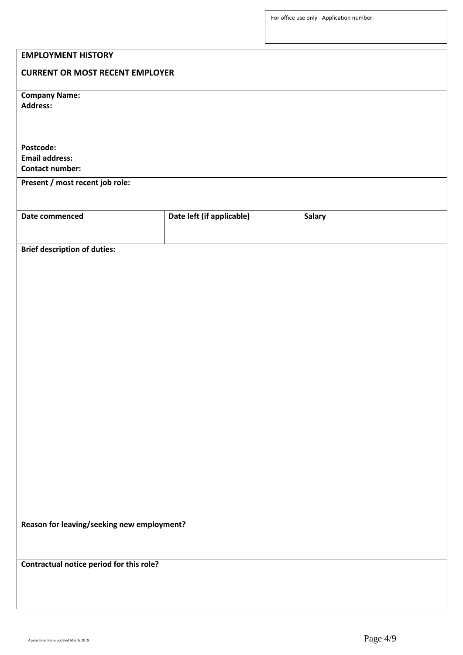| <b>EMPLOYMENT HISTORY</b>                       |                           |               |
|-------------------------------------------------|---------------------------|---------------|
| <b>CURRENT OR MOST RECENT EMPLOYER</b>          |                           |               |
|                                                 |                           |               |
| <b>Company Name:</b><br><b>Address:</b>         |                           |               |
|                                                 |                           |               |
|                                                 |                           |               |
| Postcode:                                       |                           |               |
| <b>Email address:</b><br><b>Contact number:</b> |                           |               |
| Present / most recent job role:                 |                           |               |
|                                                 |                           |               |
| Date commenced                                  | Date left (if applicable) | <b>Salary</b> |
|                                                 |                           |               |
| <b>Brief description of duties:</b>             |                           |               |
|                                                 |                           |               |
|                                                 |                           |               |
|                                                 |                           |               |
|                                                 |                           |               |
|                                                 |                           |               |
|                                                 |                           |               |
|                                                 |                           |               |
|                                                 |                           |               |
|                                                 |                           |               |
|                                                 |                           |               |
|                                                 |                           |               |
|                                                 |                           |               |
|                                                 |                           |               |
|                                                 |                           |               |
|                                                 |                           |               |
|                                                 |                           |               |
|                                                 |                           |               |
| Reason for leaving/seeking new employment?      |                           |               |
|                                                 |                           |               |
| Contractual notice period for this role?        |                           |               |
|                                                 |                           |               |
|                                                 |                           |               |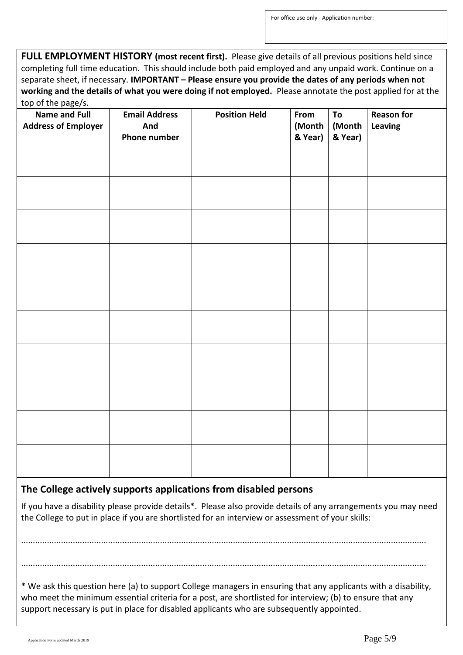**FULL EMPLOYMENT HISTORY (most recent first).** Please give details of all previous positions held since completing full time education. This should include both paid employed and any unpaid work. Continue on a separate sheet, if necessary. **IMPORTANT – Please ensure you provide the dates of any periods when not working and the details of what you were doing if not employed.** Please annotate the post applied for at the top of the page/s.

| top or the page, s.<br><b>Name and Full</b><br><b>Address of Employer</b> | <b>Email Address</b><br>And<br><b>Phone number</b> | <b>Position Held</b> | From<br>(Month<br>& Year) | To<br>(Month<br>& Year) | <b>Reason for</b><br>Leaving |
|---------------------------------------------------------------------------|----------------------------------------------------|----------------------|---------------------------|-------------------------|------------------------------|
|                                                                           |                                                    |                      |                           |                         |                              |
|                                                                           |                                                    |                      |                           |                         |                              |
|                                                                           |                                                    |                      |                           |                         |                              |
|                                                                           |                                                    |                      |                           |                         |                              |
|                                                                           |                                                    |                      |                           |                         |                              |
|                                                                           |                                                    |                      |                           |                         |                              |
|                                                                           |                                                    |                      |                           |                         |                              |
|                                                                           |                                                    |                      |                           |                         |                              |
|                                                                           |                                                    |                      |                           |                         |                              |
|                                                                           |                                                    |                      |                           |                         |                              |

## **The College actively supports applications from disabled persons**

If you have a disability please provide details\*. Please also provide details of any arrangements you may need the College to put in place if you are shortlisted for an interview or assessment of your skills:

............................................................................................................................................................................

............................................................................................................................................................................

\* We ask this question here (a) to support College managers in ensuring that any applicants with a disability, who meet the minimum essential criteria for a post, are shortlisted for interview; (b) to ensure that any support necessary is put in place for disabled applicants who are subsequently appointed.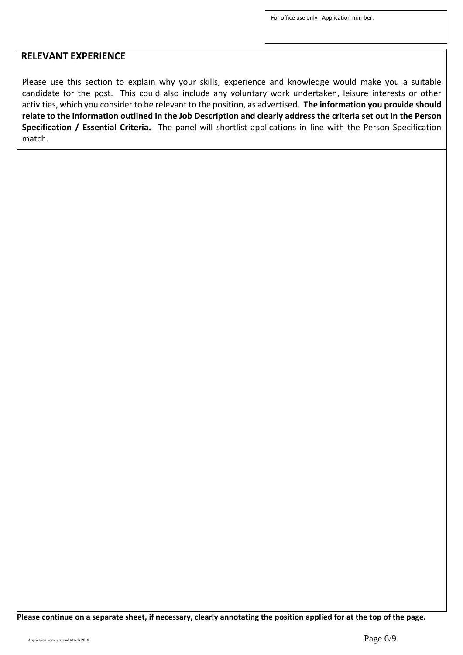# **RELEVANT EXPERIENCE**

Please use this section to explain why your skills, experience and knowledge would make you a suitable candidate for the post. This could also include any voluntary work undertaken, leisure interests or other activities, which you consider to be relevant to the position, as advertised. **The information you provide should relate to the information outlined in the Job Description and clearly address the criteria set out in the Person Specification / Essential Criteria.** The panel will shortlist applications in line with the Person Specification match.

**Please continue on a separate sheet, if necessary, clearly annotating the position applied for at the top of the page.**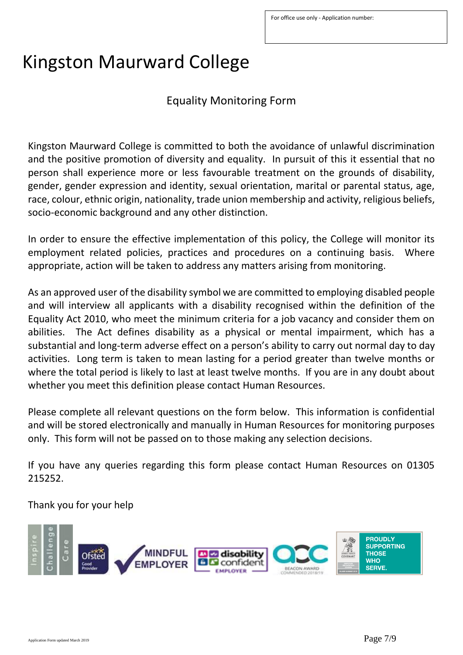# Kingston Maurward College

Equality Monitoring Form

Kingston Maurward College is committed to both the avoidance of unlawful discrimination and the positive promotion of diversity and equality. In pursuit of this it essential that no person shall experience more or less favourable treatment on the grounds of disability, gender, gender expression and identity, sexual orientation, marital or parental status, age, race, colour, ethnic origin, nationality, trade union membership and activity, religious beliefs, socio-economic background and any other distinction.

In order to ensure the effective implementation of this policy, the College will monitor its employment related policies, practices and procedures on a continuing basis. Where appropriate, action will be taken to address any matters arising from monitoring.

As an approved user of the disability symbol we are committed to employing disabled people and will interview all applicants with a disability recognised within the definition of the Equality Act 2010, who meet the minimum criteria for a job vacancy and consider them on abilities. The Act defines disability as a physical or mental impairment, which has a substantial and long-term adverse effect on a person's ability to carry out normal day to day activities. Long term is taken to mean lasting for a period greater than twelve months or where the total period is likely to last at least twelve months. If you are in any doubt about whether you meet this definition please contact Human Resources.

Please complete all relevant questions on the form below. This information is confidential and will be stored electronically and manually in Human Resources for monitoring purposes only. This form will not be passed on to those making any selection decisions.

If you have any queries regarding this form please contact Human Resources on 01305 215252.

Thank you for your help

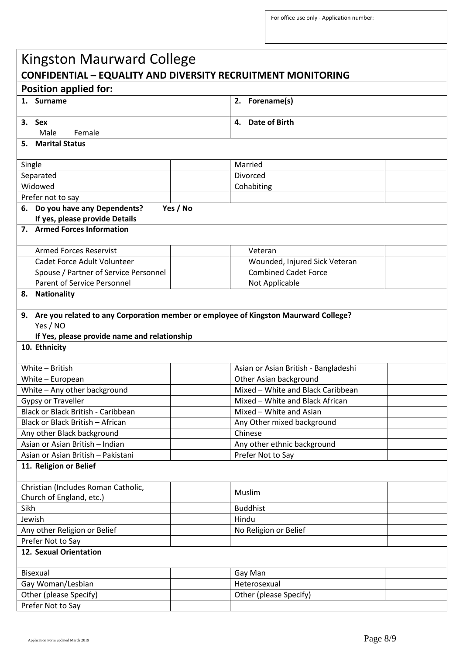| <b>Kingston Maurward College</b>                                                                                                                                    |                                      |  |
|---------------------------------------------------------------------------------------------------------------------------------------------------------------------|--------------------------------------|--|
| <b>CONFIDENTIAL - EQUALITY AND DIVERSITY RECRUITMENT MONITORING</b>                                                                                                 |                                      |  |
| <b>Position applied for:</b>                                                                                                                                        |                                      |  |
| 1. Surname                                                                                                                                                          | 2. Forename(s)                       |  |
| 3. Sex                                                                                                                                                              | <b>Date of Birth</b><br>4.           |  |
| Female<br>Male                                                                                                                                                      |                                      |  |
| 5. Marital Status                                                                                                                                                   |                                      |  |
| Single                                                                                                                                                              | Married                              |  |
| Separated                                                                                                                                                           | Divorced                             |  |
| Widowed                                                                                                                                                             | Cohabiting                           |  |
| Prefer not to say                                                                                                                                                   |                                      |  |
| 6. Do you have any Dependents?<br>Yes / No                                                                                                                          |                                      |  |
| If yes, please provide Details                                                                                                                                      |                                      |  |
| 7. Armed Forces Information                                                                                                                                         |                                      |  |
|                                                                                                                                                                     |                                      |  |
| <b>Armed Forces Reservist</b>                                                                                                                                       | Veteran                              |  |
| Cadet Force Adult Volunteer                                                                                                                                         | Wounded, Injured Sick Veteran        |  |
| Spouse / Partner of Service Personnel                                                                                                                               | <b>Combined Cadet Force</b>          |  |
| <b>Parent of Service Personnel</b>                                                                                                                                  | Not Applicable                       |  |
| 8. Nationality                                                                                                                                                      |                                      |  |
| 9. Are you related to any Corporation member or employee of Kingston Maurward College?<br>Yes / NO<br>If Yes, please provide name and relationship<br>10. Ethnicity |                                      |  |
| White - British                                                                                                                                                     | Asian or Asian British - Bangladeshi |  |
| White - European                                                                                                                                                    | Other Asian background               |  |
| White - Any other background                                                                                                                                        | Mixed - White and Black Caribbean    |  |
| <b>Gypsy or Traveller</b>                                                                                                                                           | Mixed - White and Black African      |  |
| Black or Black British - Caribbean                                                                                                                                  | Mixed - White and Asian              |  |
| Black or Black British - African                                                                                                                                    | Any Other mixed background           |  |
| Any other Black background                                                                                                                                          | Chinese                              |  |
| Asian or Asian British - Indian                                                                                                                                     | Any other ethnic background          |  |
| Asian or Asian British - Pakistani                                                                                                                                  | Prefer Not to Say                    |  |
| 11. Religion or Belief                                                                                                                                              |                                      |  |
| Christian (Includes Roman Catholic,                                                                                                                                 |                                      |  |
| Church of England, etc.)                                                                                                                                            | Muslim                               |  |
| Sikh                                                                                                                                                                | <b>Buddhist</b>                      |  |
| Jewish                                                                                                                                                              | Hindu                                |  |
| Any other Religion or Belief                                                                                                                                        | No Religion or Belief                |  |
| Prefer Not to Say                                                                                                                                                   |                                      |  |
| 12. Sexual Orientation                                                                                                                                              |                                      |  |
| <b>Bisexual</b>                                                                                                                                                     | Gay Man                              |  |
| Gay Woman/Lesbian<br>Heterosexual                                                                                                                                   |                                      |  |
| Other (please Specify)                                                                                                                                              | Other (please Specify)               |  |
| Prefer Not to Say                                                                                                                                                   |                                      |  |